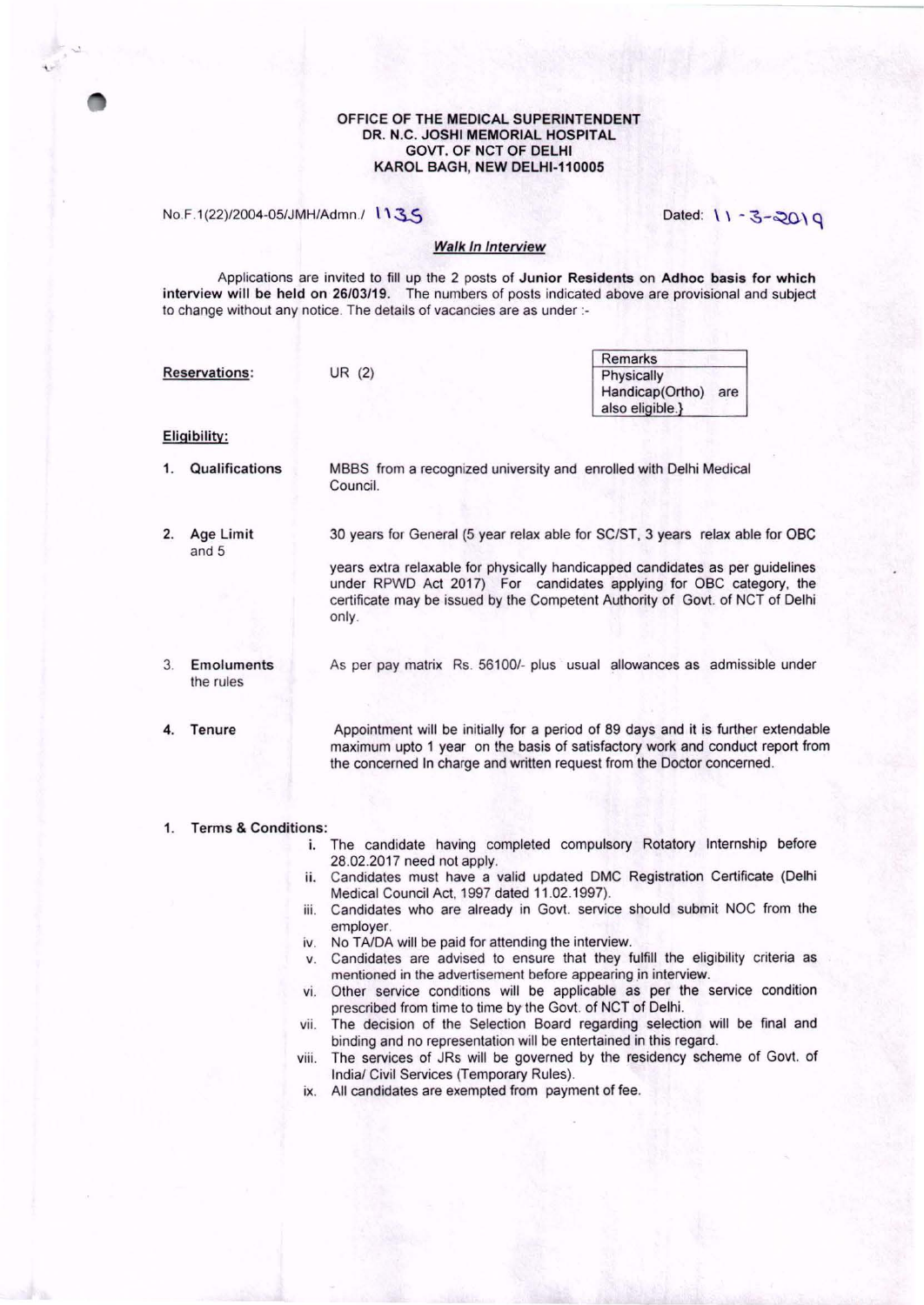#### OFFICE OF THE MEDICAL SUPERINTENDENT DR. N.C. JOSHI MEMORIAL HOSPITAL GOVT. OF NCT OF DELHI KAROL BAGH, NEW DELHl-110005

No.F.1(22)/2004-05/JMH/Admn./ 1135 Dated: \ \ - 3-20\ q

# **Walk In Interview**

Applications are invited to fill up the 2 posts of Junior Residents on Adhoc basis for which interview will be held on 26/03/19. The numbers of posts indicated above are provisional and subject to change without any notice. The details of vacancies are as under :-

|    |                                |                                                                                                                                                                                                                                                                                                                                | <b>Remarks</b>                                                                                                                                                      |  |  |  |  |  |
|----|--------------------------------|--------------------------------------------------------------------------------------------------------------------------------------------------------------------------------------------------------------------------------------------------------------------------------------------------------------------------------|---------------------------------------------------------------------------------------------------------------------------------------------------------------------|--|--|--|--|--|
|    | <b>Reservations:</b>           | UR $(2)$                                                                                                                                                                                                                                                                                                                       | Physically<br>Handicap(Ortho) are<br>also eligible.}                                                                                                                |  |  |  |  |  |
|    | Eligibility:                   |                                                                                                                                                                                                                                                                                                                                |                                                                                                                                                                     |  |  |  |  |  |
| 1. | Qualifications                 | MBBS from a recognized university and enrolled with Delhi Medical<br>Council.                                                                                                                                                                                                                                                  |                                                                                                                                                                     |  |  |  |  |  |
| 2. | Age Limit<br>and 5             | 30 years for General (5 year relax able for SC/ST, 3 years relax able for OBC<br>years extra relaxable for physically handicapped candidates as per guidelines<br>under RPWD Act 2017) For candidates applying for OBC category, the<br>certificate may be issued by the Competent Authority of Govt. of NCT of Delhi<br>only. |                                                                                                                                                                     |  |  |  |  |  |
| 3  | <b>Emoluments</b><br>the rules | As per pay matrix Rs. 56100/- plus usual allowances as admissible under                                                                                                                                                                                                                                                        |                                                                                                                                                                     |  |  |  |  |  |
| 4. | Tenure                         | the concerned In charge and written request from the Doctor concerned.                                                                                                                                                                                                                                                         | Appointment will be initially for a period of 89 days and it is further extendable<br>maximum upto 1 year on the basis of satisfactory work and conduct report from |  |  |  |  |  |

### 1. Terms & Conditions:

- i. The candidate having completed compulsory Rotatory Internship before 28.02.2017 need not apply.
- ii. Candidates must have a valid updated DMC Registration Certificate (Delhi Medical Council Act, 1997 dated 11 .02.1997).
- iii. Candidates who are already in Govt. service should submit NOC from the employer.
- iv. No TA/DA will be paid for attending the interview.
- v. Candidates are advised to ensure that they fulfill the eligibility criteria as mentioned in the advertisement before appearing in interview.
- vi. Other service conditions will be applicable as per the service condition prescribed from time to time by the Govt. of NCT of Delhi.
- vii. The decision of the Selection Board regarding selection will be final and binding and no representation will be entertained in this regard.
- viii. The services of JRs will be governed by the residency scheme of Govt. of India/ Civil Services (Temporary Rules).
- ix. All candidates are exempted from payment of fee.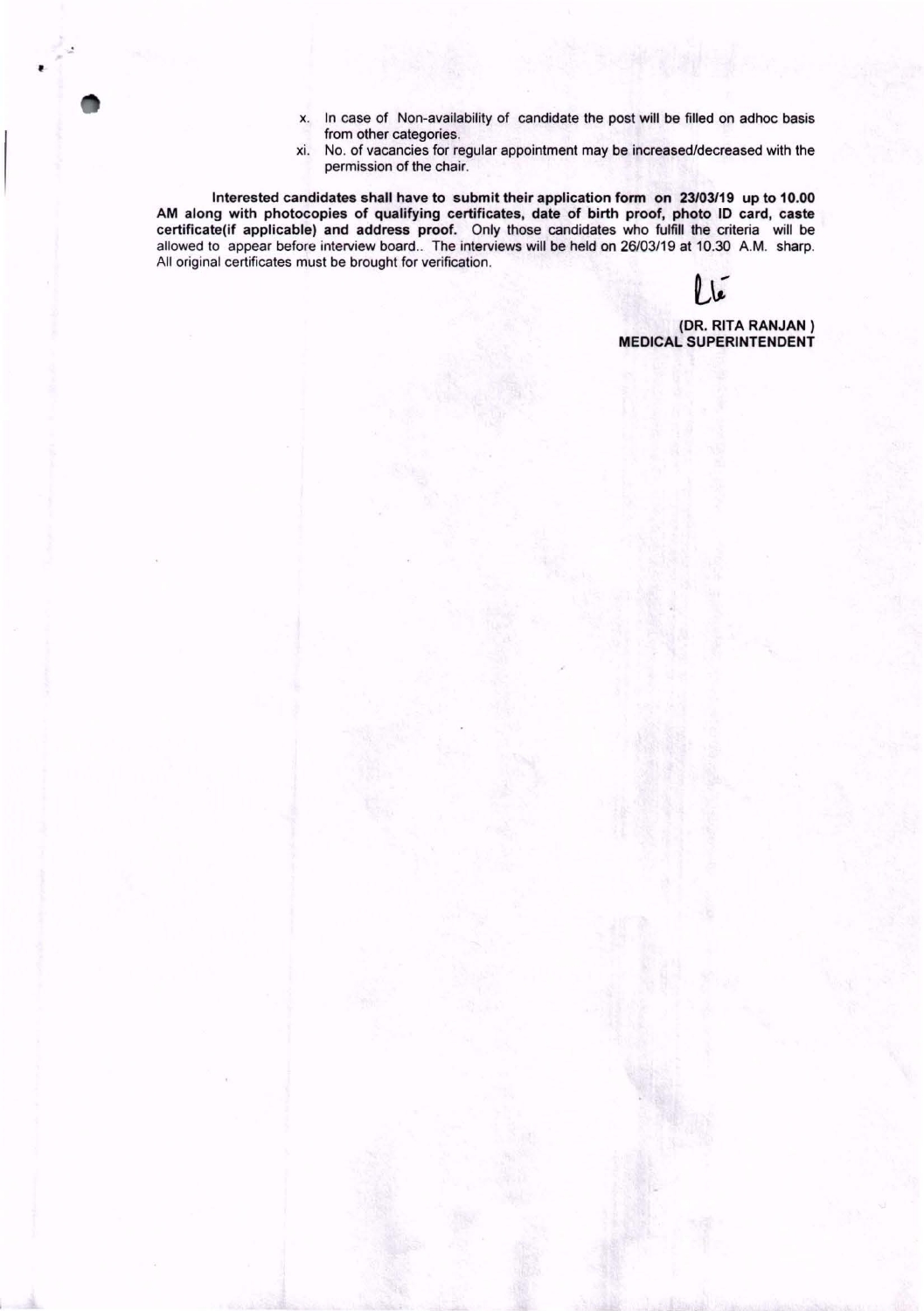- x. In case of Non-availability of candidate the post will be filled on adhoc basis from other categories.
- xi. No. of vacancies for regular appointment may be increased/decreased with the permission of the chair.

Interested candidates shall have to submit their application form on 23/03/19 up to 10.00 AM along with photocopies of qualifying certificates, date of birth proof, photo ID card, caste certificate(if applicable) and address proof. Only those candidates who fulfill the criteria will be allowed to appear before interview board.. The interviews will be held on 26/03/19 at 10.30 A.M. sharp. All original certificates must be brought for verification.

'

(DR. RITA RANJAN) MEDICAL SUPERINTENDENT